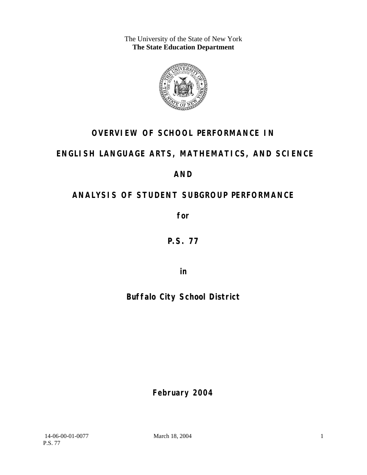The University of the State of New York **The State Education Department** 



### **OVERVIEW OF SCHOOL PERFORMANCE IN**

### **ENGLISH LANGUAGE ARTS, MATHEMATICS, AND SCIENCE**

**AND** 

## **ANALYSIS OF STUDENT SUBGROUP PERFORMANCE**

**for** 

## **P.S. 77**

**in** 

## **Buffalo City School District**

**February 2004**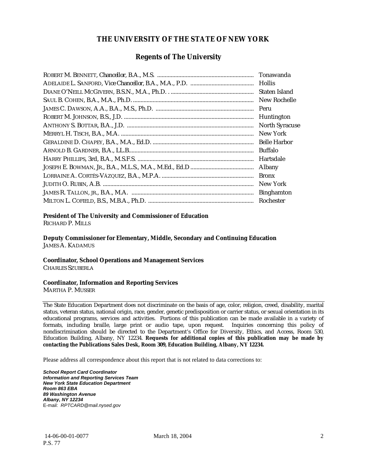#### **THE UNIVERSITY OF THE STATE OF NEW YORK**

#### **Regents of The University**

| Tonawanda             |
|-----------------------|
| Hollis                |
| Staten Island         |
| New Rochelle          |
| Peru                  |
| Huntington            |
| <b>North Syracuse</b> |
| New York              |
| <b>Belle Harbor</b>   |
| Buffalo               |
| Hartsdale             |
| Albany                |
| <b>Bronx</b>          |
| New York              |
| <b>Binghamton</b>     |
| Rochester             |

#### **President of The University and Commissioner of Education**

RICHARD P. MILLS

**Deputy Commissioner for Elementary, Middle, Secondary and Continuing Education**  JAMES A. KADAMUS

#### **Coordinator, School Operations and Management Services**

CHARLES SZUBERLA

#### **Coordinator, Information and Reporting Services**

MARTHA P. MUSSER

The State Education Department does not discriminate on the basis of age, color, religion, creed, disability, marital status, veteran status, national origin, race, gender, genetic predisposition or carrier status, or sexual orientation in its educational programs, services and activities. Portions of this publication can be made available in a variety of formats, including braille, large print or audio tape, upon request. Inquiries concerning this policy of nondiscrimination should be directed to the Department's Office for Diversity, Ethics, and Access, Room 530, Education Building, Albany, NY 12234. **Requests for additional copies of this publication may be made by contacting the Publications Sales Desk, Room 309, Education Building, Albany, NY 12234.** 

Please address all correspondence about this report that is not related to data corrections to:

*School Report Card Coordinator Information and Reporting Services Team New York State Education Department Room 863 EBA 89 Washington Avenue Albany, NY 12234*  E-mail: *RPTCARD@mail.nysed.gov*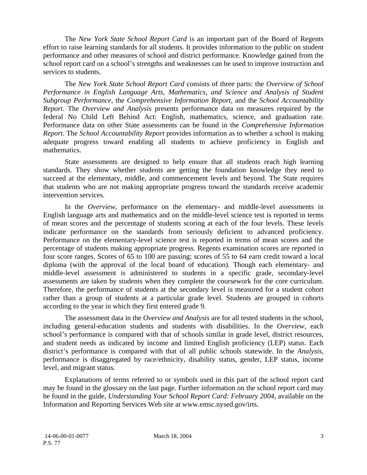The *New York State School Report Card* is an important part of the Board of Regents effort to raise learning standards for all students. It provides information to the public on student performance and other measures of school and district performance. Knowledge gained from the school report card on a school's strengths and weaknesses can be used to improve instruction and services to students.

The *New York State School Report Card* consists of three parts: the *Overview of School Performance in English Language Arts, Mathematics, and Science and Analysis of Student Subgroup Performance,* the *Comprehensive Information Report,* and the *School Accountability Report*. The *Overview and Analysis* presents performance data on measures required by the federal No Child Left Behind Act: English, mathematics, science, and graduation rate. Performance data on other State assessments can be found in the *Comprehensive Information Report*. The *School Accountability Report* provides information as to whether a school is making adequate progress toward enabling all students to achieve proficiency in English and mathematics.

State assessments are designed to help ensure that all students reach high learning standards. They show whether students are getting the foundation knowledge they need to succeed at the elementary, middle, and commencement levels and beyond. The State requires that students who are not making appropriate progress toward the standards receive academic intervention services.

In the *Overview*, performance on the elementary- and middle-level assessments in English language arts and mathematics and on the middle-level science test is reported in terms of mean scores and the percentage of students scoring at each of the four levels. These levels indicate performance on the standards from seriously deficient to advanced proficiency. Performance on the elementary-level science test is reported in terms of mean scores and the percentage of students making appropriate progress. Regents examination scores are reported in four score ranges. Scores of 65 to 100 are passing; scores of 55 to 64 earn credit toward a local diploma (with the approval of the local board of education). Though each elementary- and middle-level assessment is administered to students in a specific grade, secondary-level assessments are taken by students when they complete the coursework for the core curriculum. Therefore, the performance of students at the secondary level is measured for a student cohort rather than a group of students at a particular grade level. Students are grouped in cohorts according to the year in which they first entered grade 9.

The assessment data in the *Overview and Analysis* are for all tested students in the school, including general-education students and students with disabilities. In the *Overview*, each school's performance is compared with that of schools similar in grade level, district resources, and student needs as indicated by income and limited English proficiency (LEP) status. Each district's performance is compared with that of all public schools statewide. In the *Analysis*, performance is disaggregated by race/ethnicity, disability status, gender, LEP status, income level, and migrant status.

Explanations of terms referred to or symbols used in this part of the school report card may be found in the glossary on the last page. Further information on the school report card may be found in the guide, *Understanding Your School Report Card: February 2004*, available on the Information and Reporting Services Web site at www.emsc.nysed.gov/irts.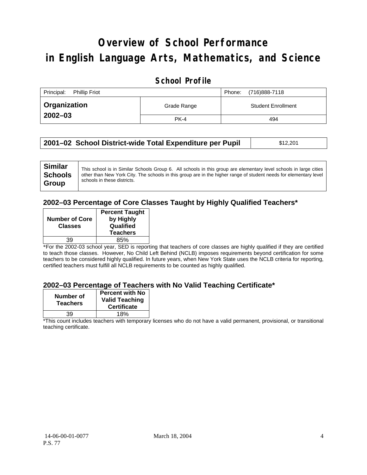# **Overview of School Performance in English Language Arts, Mathematics, and Science**

### **School Profile**

| Principal:<br><b>Phillip Friot</b> | (716)888-7118<br>Phone: |                           |
|------------------------------------|-------------------------|---------------------------|
| <b>Organization</b>                | Grade Range             | <b>Student Enrollment</b> |
| $2002 - 03$                        | PK-4                    | 494                       |

| 2001–02 School District-wide Total Expenditure per Pupil | \$12,201 |
|----------------------------------------------------------|----------|
|----------------------------------------------------------|----------|

#### **2002–03 Percentage of Core Classes Taught by Highly Qualified Teachers\***

| <b>Number of Core</b><br><b>Classes</b> | <b>Percent Taught</b><br>by Highly<br>Qualified<br><b>Teachers</b> |
|-----------------------------------------|--------------------------------------------------------------------|
|                                         |                                                                    |
| 39                                      | 85%                                                                |
|                                         |                                                                    |

\*For the 2002-03 school year, SED is reporting that teachers of core classes are highly qualified if they are certified to teach those classes. However, No Child Left Behind (NCLB) imposes requirements beyond certification for some teachers to be considered highly qualified. In future years, when New York State uses the NCLB criteria for reporting, certified teachers must fulfill all NCLB requirements to be counted as highly qualified.

#### **2002–03 Percentage of Teachers with No Valid Teaching Certificate\***

| Number of<br><b>Teachers</b> | <b>Percent with No</b><br><b>Valid Teaching</b><br><b>Certificate</b> |
|------------------------------|-----------------------------------------------------------------------|
| 39                           | 18%                                                                   |

\*This count includes teachers with temporary licenses who do not have a valid permanent, provisional, or transitional teaching certificate.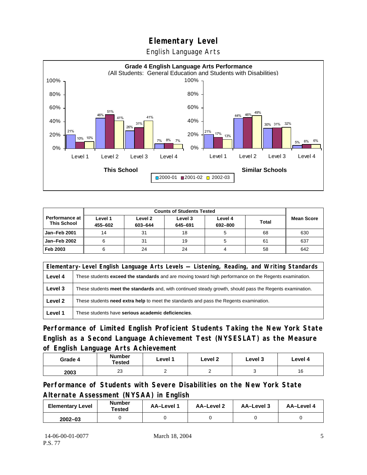English Language Arts



|                                             |                    | <b>Counts of Students Tested</b> |                    |                    |       |                   |
|---------------------------------------------|--------------------|----------------------------------|--------------------|--------------------|-------|-------------------|
| <b>Performance at</b><br><b>This School</b> | Level 1<br>455-602 | Level 2<br>603-644               | Level 3<br>645-691 | Level 4<br>692-800 | Total | <b>Mean Score</b> |
| Jan-Feb 2001                                | 14                 | 31                               | 18                 |                    | 68    | 630               |
| Jan-Feb 2002                                |                    | 31                               | 19                 |                    | 61    | 637               |
| Feb 2003                                    |                    | 24                               | 24                 |                    | 58    | 642               |

| Elementary-Level English Language Arts Levels — Listening, Reading, and Writing Standards |                                                                                                               |  |  |  |
|-------------------------------------------------------------------------------------------|---------------------------------------------------------------------------------------------------------------|--|--|--|
| Level 4                                                                                   | These students <b>exceed the standards</b> and are moving toward high performance on the Regents examination. |  |  |  |
| Level 3                                                                                   | These students meet the standards and, with continued steady growth, should pass the Regents examination.     |  |  |  |
| Level 2                                                                                   | These students <b>need extra help</b> to meet the standards and pass the Regents examination.                 |  |  |  |
| Level 1                                                                                   | These students have serious academic deficiencies.                                                            |  |  |  |

**Performance of Limited English Proficient Students Taking the New York State English as a Second Language Achievement Test (NYSESLAT) as the Measure of English Language Arts Achievement**

| Grade 4 | <b>Number</b><br>Tested | Level 1  | Level 2 | Level 3 | Level 4 |
|---------|-------------------------|----------|---------|---------|---------|
| 2003    | ົ<br>د∠                 | <u>_</u> | -       |         | 16      |

**Performance of Students with Severe Disabilities on the New York State Alternate Assessment (NYSAA) in English** 

| <b>Elementary Level</b> | <b>Number</b><br>Tested | <b>AA-Level 1</b> | AA-Level 2 | AA-Level 3 | AA-Level 4 |
|-------------------------|-------------------------|-------------------|------------|------------|------------|
| $2002 - 03$             |                         |                   |            |            |            |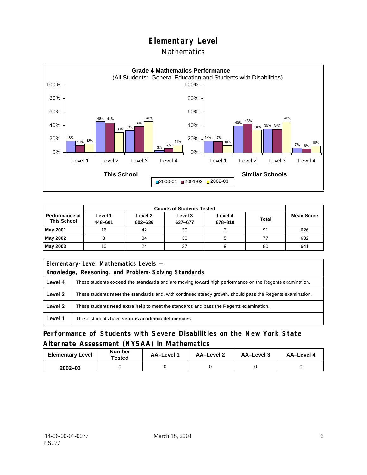#### Mathematics



|                                             | <b>Counts of Students Tested</b> |                    |                    |                    |              |                   |
|---------------------------------------------|----------------------------------|--------------------|--------------------|--------------------|--------------|-------------------|
| <b>Performance at</b><br><b>This School</b> | Level 1<br>448-601               | Level 2<br>602-636 | Level 3<br>637-677 | Level 4<br>678-810 | <b>Total</b> | <b>Mean Score</b> |
| <b>May 2001</b>                             | 16                               | 42                 | 30                 |                    | 91           | 626               |
| May 2002                                    | 8                                | 34                 | 30                 | 5                  |              | 632               |
| May 2003                                    | 10                               | 24                 | 37                 |                    | 80           | 641               |

|                                                                                                   | Elementary-Level Mathematics Levels -                                                                         |  |  |  |
|---------------------------------------------------------------------------------------------------|---------------------------------------------------------------------------------------------------------------|--|--|--|
|                                                                                                   | Knowledge, Reasoning, and Problem-Solving Standards                                                           |  |  |  |
| Level 4                                                                                           | These students <b>exceed the standards</b> and are moving toward high performance on the Regents examination. |  |  |  |
| Level 3                                                                                           | These students meet the standards and, with continued steady growth, should pass the Regents examination.     |  |  |  |
| Level 2<br>These students need extra help to meet the standards and pass the Regents examination. |                                                                                                               |  |  |  |
| Level 1                                                                                           | These students have serious academic deficiencies.                                                            |  |  |  |

### **Performance of Students with Severe Disabilities on the New York State Alternate Assessment (NYSAA) in Mathematics**

| <b>Elementary Level</b> | <b>Number</b><br>Tested | <b>AA-Level 1</b> | AA-Level 2 | AA-Level 3 | AA-Level 4 |  |
|-------------------------|-------------------------|-------------------|------------|------------|------------|--|
| $2002 - 03$             |                         |                   |            |            |            |  |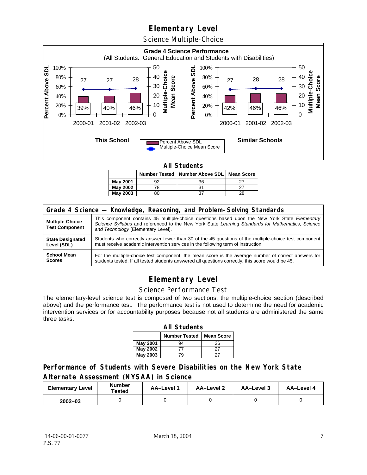Science Multiple-Choice



**All Students** 

|          |    | Number Tested   Number Above SDL   Mean Score |    |
|----------|----|-----------------------------------------------|----|
| May 2001 | 92 | 36                                            |    |
| May 2002 | 78 | 31                                            | つつ |
| May 2003 | 80 | 37                                            | 28 |

| Grade 4 Science - Knowledge, Reasoning, and Problem-Solving Standards |                                                                                                                                                                                                                                          |  |  |  |  |  |
|-----------------------------------------------------------------------|------------------------------------------------------------------------------------------------------------------------------------------------------------------------------------------------------------------------------------------|--|--|--|--|--|
| <b>Multiple-Choice</b><br><b>Test Component</b>                       | This component contains 45 multiple-choice questions based upon the New York State Elementary<br>Science Syllabus and referenced to the New York State Learning Standards for Mathematics, Science<br>and Technology (Elementary Level). |  |  |  |  |  |
| <b>State Designated</b>                                               | Students who correctly answer fewer than 30 of the 45 questions of the multiple-choice test component                                                                                                                                    |  |  |  |  |  |
| Level (SDL)                                                           | must receive academic intervention services in the following term of instruction.                                                                                                                                                        |  |  |  |  |  |
| <b>School Mean</b>                                                    | For the multiple-choice test component, the mean score is the average number of correct answers for                                                                                                                                      |  |  |  |  |  |
| <b>Scores</b>                                                         | students tested. If all tested students answered all questions correctly, this score would be 45.                                                                                                                                        |  |  |  |  |  |

### **Elementary Level**

#### Science Performance Test

The elementary-level science test is composed of two sections, the multiple-choice section (described above) and the performance test. The performance test is not used to determine the need for academic intervention services or for accountability purposes because not all students are administered the same three tasks.

| <b>All Students</b>                       |    |    |  |  |  |  |  |  |
|-------------------------------------------|----|----|--|--|--|--|--|--|
| <b>Number Tested</b><br><b>Mean Score</b> |    |    |  |  |  |  |  |  |
| May 2001                                  | 94 | 26 |  |  |  |  |  |  |
| May 2002                                  |    | 27 |  |  |  |  |  |  |
| <b>May 2003</b>                           | 'q |    |  |  |  |  |  |  |

#### **Performance of Students with Severe Disabilities on the New York State Alternate Assessment (NYSAA) in Science**

| <b>Elementary Level</b> | <b>Number</b><br>Tested | AA-Level 1 | <b>AA-Level 2</b> | AA-Level 3 | AA-Level 4 |  |
|-------------------------|-------------------------|------------|-------------------|------------|------------|--|
| $2002 - 03$             |                         |            |                   |            |            |  |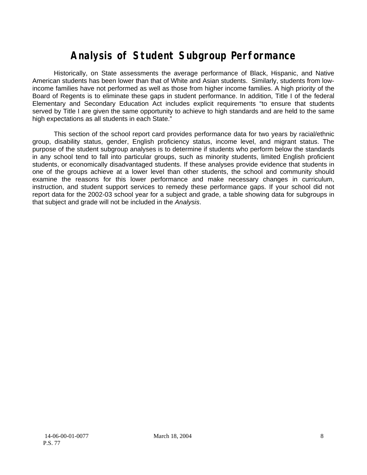# **Analysis of Student Subgroup Performance**

Historically, on State assessments the average performance of Black, Hispanic, and Native American students has been lower than that of White and Asian students. Similarly, students from lowincome families have not performed as well as those from higher income families. A high priority of the Board of Regents is to eliminate these gaps in student performance. In addition, Title I of the federal Elementary and Secondary Education Act includes explicit requirements "to ensure that students served by Title I are given the same opportunity to achieve to high standards and are held to the same high expectations as all students in each State."

This section of the school report card provides performance data for two years by racial/ethnic group, disability status, gender, English proficiency status, income level, and migrant status. The purpose of the student subgroup analyses is to determine if students who perform below the standards in any school tend to fall into particular groups, such as minority students, limited English proficient students, or economically disadvantaged students. If these analyses provide evidence that students in one of the groups achieve at a lower level than other students, the school and community should examine the reasons for this lower performance and make necessary changes in curriculum, instruction, and student support services to remedy these performance gaps. If your school did not report data for the 2002-03 school year for a subject and grade, a table showing data for subgroups in that subject and grade will not be included in the *Analysis*.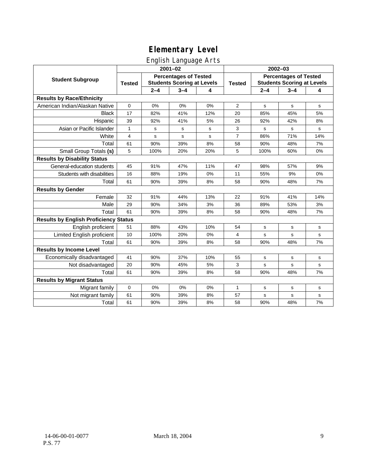### English Language Arts

|                                              | ັ<br>$2001 - 02$                                                                   |         |         |               | 2002-03                                                           |             |             |           |
|----------------------------------------------|------------------------------------------------------------------------------------|---------|---------|---------------|-------------------------------------------------------------------|-------------|-------------|-----------|
| <b>Student Subgroup</b>                      | <b>Percentages of Tested</b><br><b>Students Scoring at Levels</b><br><b>Tested</b> |         |         | <b>Tested</b> | <b>Percentages of Tested</b><br><b>Students Scoring at Levels</b> |             |             |           |
|                                              |                                                                                    | $2 - 4$ | $3 - 4$ | 4             |                                                                   | $2 - 4$     | $3 - 4$     | 4         |
| <b>Results by Race/Ethnicity</b>             |                                                                                    |         |         |               |                                                                   |             |             |           |
| American Indian/Alaskan Native               | $\mathbf 0$                                                                        | 0%      | 0%      | 0%            | $\overline{2}$                                                    | s           | $\mathbf s$ | ${\tt s}$ |
| <b>Black</b>                                 | 17                                                                                 | 82%     | 41%     | 12%           | 20                                                                | 85%         | 45%         | 5%        |
| Hispanic                                     | 39                                                                                 | 92%     | 41%     | 5%            | 26                                                                | 92%         | 42%         | 8%        |
| Asian or Pacific Islander                    | $\mathbf{1}$                                                                       | s       | s       | s             | 3                                                                 | s           | s           | s         |
| White                                        | 4                                                                                  | s       | s       | s             | $\overline{7}$                                                    | 86%         | 71%         | 14%       |
| Total                                        | 61                                                                                 | 90%     | 39%     | 8%            | 58                                                                | 90%         | 48%         | 7%        |
| Small Group Totals (s)                       | 5                                                                                  | 100%    | 20%     | 20%           | 5                                                                 | 100%        | 60%         | 0%        |
| <b>Results by Disability Status</b>          |                                                                                    |         |         |               |                                                                   |             |             |           |
| General-education students                   | 45                                                                                 | 91%     | 47%     | 11%           | 47                                                                | 98%         | 57%         | 9%        |
| Students with disabilities                   | 16                                                                                 | 88%     | 19%     | 0%            | 11                                                                | 55%         | 9%          | 0%        |
| Total                                        | 61                                                                                 | 90%     | 39%     | 8%            | 58                                                                | 90%         | 48%         | 7%        |
| <b>Results by Gender</b>                     |                                                                                    |         |         |               |                                                                   |             |             |           |
| Female                                       | 32                                                                                 | 91%     | 44%     | 13%           | 22                                                                | 91%         | 41%         | 14%       |
| Male                                         | 29                                                                                 | 90%     | 34%     | 3%            | 36                                                                | 89%         | 53%         | 3%        |
| Total                                        | 61                                                                                 | 90%     | 39%     | 8%            | 58                                                                | 90%         | 48%         | 7%        |
| <b>Results by English Proficiency Status</b> |                                                                                    |         |         |               |                                                                   |             |             |           |
| English proficient                           | 51                                                                                 | 88%     | 43%     | 10%           | 54                                                                | s           | s           | s         |
| Limited English proficient                   | 10                                                                                 | 100%    | 20%     | 0%            | 4                                                                 | $\mathbf s$ | $\mathbf s$ | s         |
| Total                                        | 61                                                                                 | 90%     | 39%     | 8%            | 58                                                                | 90%         | 48%         | 7%        |
| <b>Results by Income Level</b>               |                                                                                    |         |         |               |                                                                   |             |             |           |
| Economically disadvantaged                   | 41                                                                                 | 90%     | 37%     | 10%           | 55                                                                | s           | s           | s         |
| Not disadvantaged                            | 20                                                                                 | 90%     | 45%     | 5%            | 3                                                                 | s           | s           | ${\tt s}$ |
| Total                                        | 61                                                                                 | 90%     | 39%     | 8%            | 58                                                                | 90%         | 48%         | 7%        |
| <b>Results by Migrant Status</b>             |                                                                                    |         |         |               |                                                                   |             |             |           |
| Migrant family                               | $\mathbf 0$                                                                        | 0%      | 0%      | 0%            | 1                                                                 | s           | s           | s         |
| Not migrant family                           | 61                                                                                 | 90%     | 39%     | 8%            | 57                                                                | s           | s           | s         |
| Total                                        | 61                                                                                 | 90%     | 39%     | 8%            | 58                                                                | 90%         | 48%         | 7%        |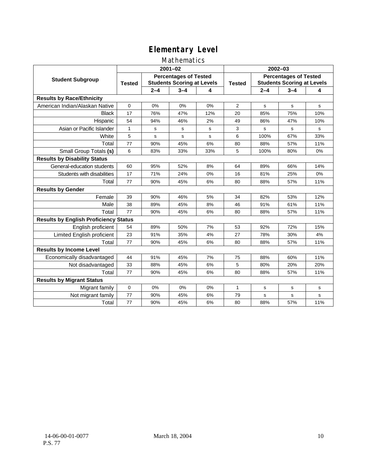### Mathematics

|                                              | $2001 - 02$                                                                        |         |             |               | $2002 - 03$                                                       |         |         |             |
|----------------------------------------------|------------------------------------------------------------------------------------|---------|-------------|---------------|-------------------------------------------------------------------|---------|---------|-------------|
| <b>Student Subgroup</b>                      | <b>Percentages of Tested</b><br><b>Students Scoring at Levels</b><br><b>Tested</b> |         |             | <b>Tested</b> | <b>Percentages of Tested</b><br><b>Students Scoring at Levels</b> |         |         |             |
|                                              |                                                                                    | $2 - 4$ | $3 - 4$     | 4             |                                                                   | $2 - 4$ | $3 - 4$ | 4           |
| <b>Results by Race/Ethnicity</b>             |                                                                                    |         |             |               |                                                                   |         |         |             |
| American Indian/Alaskan Native               | $\Omega$                                                                           | 0%      | 0%          | 0%            | $\overline{2}$                                                    | s       | S       | s           |
| <b>Black</b>                                 | 17                                                                                 | 76%     | 47%         | 12%           | 20                                                                | 85%     | 75%     | 10%         |
| Hispanic                                     | 54                                                                                 | 94%     | 46%         | 2%            | 49                                                                | 86%     | 47%     | 10%         |
| Asian or Pacific Islander                    | 1                                                                                  | s       | s           | s             | 3                                                                 | s       | s       | s           |
| White                                        | 5                                                                                  | s       | $\mathbf s$ | s             | 6                                                                 | 100%    | 67%     | 33%         |
| Total                                        | 77                                                                                 | 90%     | 45%         | 6%            | 80                                                                | 88%     | 57%     | 11%         |
| Small Group Totals (s)                       | 6                                                                                  | 83%     | 33%         | 33%           | 5                                                                 | 100%    | 80%     | 0%          |
| <b>Results by Disability Status</b>          |                                                                                    |         |             |               |                                                                   |         |         |             |
| General-education students                   | 60                                                                                 | 95%     | 52%         | 8%            | 64                                                                | 89%     | 66%     | 14%         |
| Students with disabilities                   | 17                                                                                 | 71%     | 24%         | 0%            | 16                                                                | 81%     | 25%     | 0%          |
| Total                                        | 77                                                                                 | 90%     | 45%         | 6%            | 80                                                                | 88%     | 57%     | 11%         |
| <b>Results by Gender</b>                     |                                                                                    |         |             |               |                                                                   |         |         |             |
| Female                                       | 39                                                                                 | 90%     | 46%         | 5%            | 34                                                                | 82%     | 53%     | 12%         |
| Male                                         | 38                                                                                 | 89%     | 45%         | 8%            | 46                                                                | 91%     | 61%     | 11%         |
| Total                                        | 77                                                                                 | 90%     | 45%         | 6%            | 80                                                                | 88%     | 57%     | 11%         |
| <b>Results by English Proficiency Status</b> |                                                                                    |         |             |               |                                                                   |         |         |             |
| English proficient                           | 54                                                                                 | 89%     | 50%         | 7%            | 53                                                                | 92%     | 72%     | 15%         |
| Limited English proficient                   | 23                                                                                 | 91%     | 35%         | 4%            | 27                                                                | 78%     | 30%     | 4%          |
| Total                                        | 77                                                                                 | 90%     | 45%         | 6%            | 80                                                                | 88%     | 57%     | 11%         |
| <b>Results by Income Level</b>               |                                                                                    |         |             |               |                                                                   |         |         |             |
| Economically disadvantaged                   | 44                                                                                 | 91%     | 45%         | 7%            | 75                                                                | 88%     | 60%     | 11%         |
| Not disadvantaged                            | 33                                                                                 | 88%     | 45%         | 6%            | 5                                                                 | 80%     | 20%     | 20%         |
| Total                                        | 77                                                                                 | 90%     | 45%         | 6%            | 80                                                                | 88%     | 57%     | 11%         |
| <b>Results by Migrant Status</b>             |                                                                                    |         |             |               |                                                                   |         |         |             |
| Migrant family                               | $\mathbf 0$                                                                        | 0%      | 0%          | 0%            | 1                                                                 | s       | s       | s           |
| Not migrant family                           | 77                                                                                 | 90%     | 45%         | 6%            | 79                                                                | s       | s       | $\mathbf s$ |
| Total                                        | 77                                                                                 | 90%     | 45%         | 6%            | 80                                                                | 88%     | 57%     | 11%         |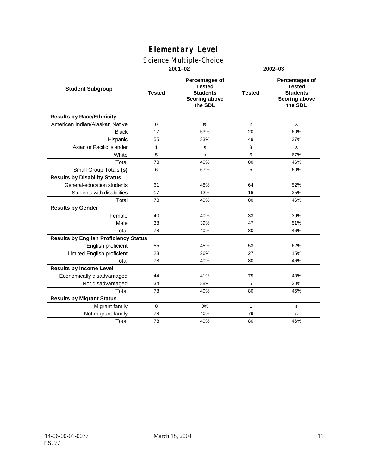### Science Multiple-Choice

|                                              | $2001 - 02$   |                                                                                              | $2002 - 03$    |                                                                                              |  |  |  |
|----------------------------------------------|---------------|----------------------------------------------------------------------------------------------|----------------|----------------------------------------------------------------------------------------------|--|--|--|
| <b>Student Subgroup</b>                      | <b>Tested</b> | <b>Percentages of</b><br><b>Tested</b><br><b>Students</b><br><b>Scoring above</b><br>the SDL | <b>Tested</b>  | <b>Percentages of</b><br><b>Tested</b><br><b>Students</b><br><b>Scoring above</b><br>the SDL |  |  |  |
| <b>Results by Race/Ethnicity</b>             |               |                                                                                              |                |                                                                                              |  |  |  |
| American Indian/Alaskan Native               | 0             | 0%                                                                                           | $\overline{2}$ | s                                                                                            |  |  |  |
| <b>Black</b>                                 | 17            | 53%                                                                                          | 20             | 60%                                                                                          |  |  |  |
| Hispanic                                     | 55            | 33%                                                                                          | 49             | 37%                                                                                          |  |  |  |
| Asian or Pacific Islander                    | $\mathbf{1}$  | s                                                                                            | 3              | s                                                                                            |  |  |  |
| White                                        | 5             | s                                                                                            | 6              | 67%                                                                                          |  |  |  |
| Total                                        | 78            | 40%                                                                                          | 80             | 46%                                                                                          |  |  |  |
| Small Group Totals (s)                       | 6             | 67%                                                                                          | 5              | 60%                                                                                          |  |  |  |
| <b>Results by Disability Status</b>          |               |                                                                                              |                |                                                                                              |  |  |  |
| General-education students                   | 61            | 48%                                                                                          | 64             | 52%                                                                                          |  |  |  |
| Students with disabilities                   | 17            | 12%                                                                                          | 16             | 25%                                                                                          |  |  |  |
| Total                                        | 78            | 40%                                                                                          | 80             | 46%                                                                                          |  |  |  |
| <b>Results by Gender</b>                     |               |                                                                                              |                |                                                                                              |  |  |  |
| Female                                       | 40            | 40%                                                                                          | 33             | 39%                                                                                          |  |  |  |
| Male                                         | 38            | 39%                                                                                          | 47             | 51%                                                                                          |  |  |  |
| Total                                        | 78            | 40%                                                                                          | 80             | 46%                                                                                          |  |  |  |
| <b>Results by English Proficiency Status</b> |               |                                                                                              |                |                                                                                              |  |  |  |
| English proficient                           | 55            | 45%                                                                                          | 53             | 62%                                                                                          |  |  |  |
| Limited English proficient                   | 23            | 26%                                                                                          | 27             | 15%                                                                                          |  |  |  |
| Total                                        | 78            | 40%                                                                                          | 80             | 46%                                                                                          |  |  |  |
| <b>Results by Income Level</b>               |               |                                                                                              |                |                                                                                              |  |  |  |
| Economically disadvantaged                   | 44            | 41%                                                                                          | 75             | 48%                                                                                          |  |  |  |
| Not disadvantaged                            | 34            | 38%                                                                                          | 5              | 20%                                                                                          |  |  |  |
| Total                                        | 78            | 40%                                                                                          | 80             | 46%                                                                                          |  |  |  |
| <b>Results by Migrant Status</b>             |               |                                                                                              |                |                                                                                              |  |  |  |
| Migrant family                               | 0             | 0%                                                                                           | $\mathbf{1}$   | ${\tt s}$                                                                                    |  |  |  |
| Not migrant family                           | 78            | 40%                                                                                          | 79             | s                                                                                            |  |  |  |
| Total                                        | 78            | 40%                                                                                          | 80             | 46%                                                                                          |  |  |  |